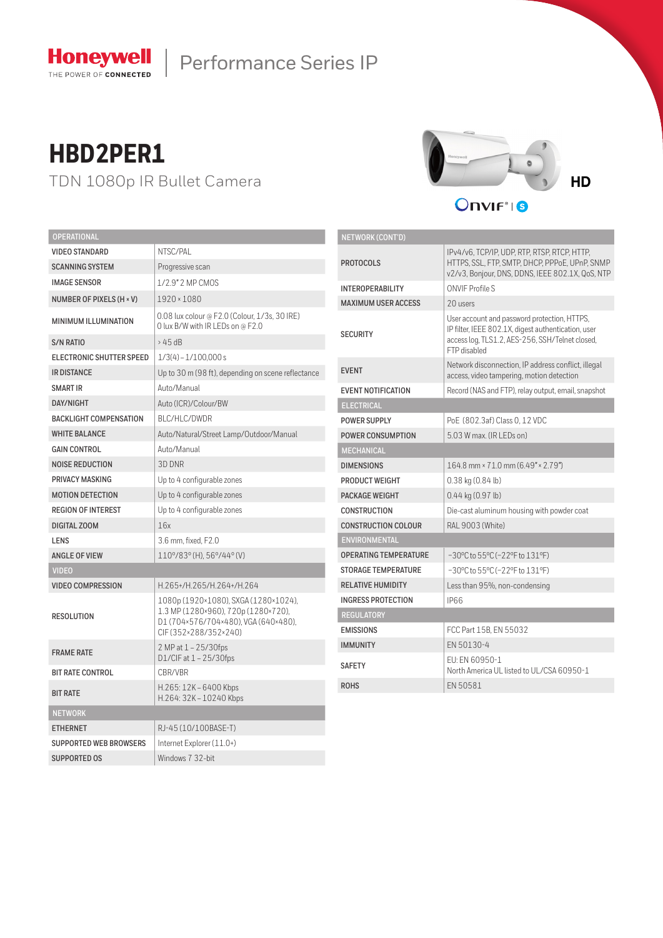

# Performance Series IP

# **HBD2PER1**

TDN 1080p IR Bullet Camera



Onvir<sup>®</sup>16

| OPERATIONAL                   |                                                                                                                                             |  |  |
|-------------------------------|---------------------------------------------------------------------------------------------------------------------------------------------|--|--|
| <b>VIDEO STANDARD</b>         | NTSC/PAL                                                                                                                                    |  |  |
| <b>SCANNING SYSTEM</b>        | Progressive scan                                                                                                                            |  |  |
| <b>IMAGE SENSOR</b>           | 1/2.9" 2 MP CMOS                                                                                                                            |  |  |
| NUMBER OF PIXELS (H × V)      | $1920 \times 1080$                                                                                                                          |  |  |
| <b>MINIMUM ILLUMINATION</b>   | 0.08 lux colour @ F2.0 (Colour, 1/3s, 30 IRE)<br>O lux B/W with IR LEDs on @ F2.0                                                           |  |  |
| <b>S/N RATIO</b>              | $>45$ dB                                                                                                                                    |  |  |
| ELECTRONIC SHUTTER SPEED      | $1/3(4) - 1/100,000s$                                                                                                                       |  |  |
| <b>IR DISTANCE</b>            | Up to 30 m (98 ft), depending on scene reflectance                                                                                          |  |  |
| <b>SMART IR</b>               | Auto/Manual                                                                                                                                 |  |  |
| <b>DAY/NIGHT</b>              | Auto (ICR)/Colour/BW                                                                                                                        |  |  |
| <b>BACKLIGHT COMPENSATION</b> | BLC/HLC/DWDR                                                                                                                                |  |  |
| <b>WHITE BALANCE</b>          | Auto/Natural/Street Lamp/Outdoor/Manual                                                                                                     |  |  |
| <b>GAIN CONTROL</b>           | Auto/Manual                                                                                                                                 |  |  |
| <b>NOISE REDUCTION</b>        | 3D DNR                                                                                                                                      |  |  |
| PRIVACY MASKING               | Up to 4 configurable zones                                                                                                                  |  |  |
| <b>MOTION DETECTION</b>       | Up to 4 configurable zones                                                                                                                  |  |  |
| <b>REGION OF INTEREST</b>     | Up to 4 configurable zones                                                                                                                  |  |  |
| DIGITAL ZOOM                  | 16x                                                                                                                                         |  |  |
| LENS                          | 3.6 mm, fixed, F2.0                                                                                                                         |  |  |
| <b>ANGLE OF VIEW</b>          | 110°/83° (H). 56°/44° (V)                                                                                                                   |  |  |
| <b>VIDEO</b>                  |                                                                                                                                             |  |  |
| <b>VIDEO COMPRESSION</b>      | H.265+/H.265/H.264+/H.264                                                                                                                   |  |  |
| <b>RESOLUTION</b>             | 1080p (1920×1080), SXGA (1280×1024),<br>1.3 MP (1280×960), 720p (1280×720),<br>D1 (704×576/704×480), VGA (640×480),<br>CIF(352×288/352×240) |  |  |
| <b>FRAME RATE</b>             | 2 MP at 1 - 25/30fps<br>D1/CIF at 1 - 25/30fps                                                                                              |  |  |
| <b>BIT RATE CONTROL</b>       | CBR/VBR                                                                                                                                     |  |  |
| <b>BIT RATE</b>               | H.265: 12K - 6400 Kbps<br>H.264: 32K - 10240 Kbps                                                                                           |  |  |
| <b>NETWORK</b>                |                                                                                                                                             |  |  |
| <b>ETHERNET</b>               | RJ-45 (10/100BASE-T)                                                                                                                        |  |  |
| <b>SUPPORTED WEB BROWSERS</b> | Internet Explorer (11.0+)                                                                                                                   |  |  |
| <b>SUPPORTED OS</b>           | Windows 7 32-bit                                                                                                                            |  |  |

| <b>NETWORK (CONT'D)</b>      |                                                                                                                                                                        |  |  |
|------------------------------|------------------------------------------------------------------------------------------------------------------------------------------------------------------------|--|--|
| <b>PROTOCOLS</b>             | IPv4/v6, TCP/IP, UDP, RTP, RTSP, RTCP, HTTP,<br>HTTPS, SSL, FTP, SMTP, DHCP, PPPoE, UPnP, SNMP<br>v2/v3, Bonjour, DNS, DDNS, IEEE 802.1X, QoS, NTP                     |  |  |
| <b>INTEROPERABILITY</b>      | <b>ONVIF Profile S</b>                                                                                                                                                 |  |  |
| <b>MAXIMUM USER ACCESS</b>   | 20 users                                                                                                                                                               |  |  |
| <b>SECURITY</b>              | User account and password protection, HTTPS,<br>IP filter, IEEE 802.1X, digest authentication, user<br>access log, TLS1.2, AES-256, SSH/Telnet closed,<br>FTP disabled |  |  |
| <b>EVENT</b>                 | Network disconnection, IP address conflict, illegal<br>access, video tampering, motion detection                                                                       |  |  |
| <b>EVENT NOTIFICATION</b>    | Record (NAS and FTP), relay output, email, snapshot                                                                                                                    |  |  |
| <b>ELECTRICAL</b>            |                                                                                                                                                                        |  |  |
| <b>POWER SUPPLY</b>          | PoE (802.3af) Class 0, 12 VDC                                                                                                                                          |  |  |
| <b>POWER CONSUMPTION</b>     | 5.03 W max. (IR LEDs on)                                                                                                                                               |  |  |
| <b>MECHANICAL</b>            |                                                                                                                                                                        |  |  |
| <b>DIMENSIONS</b>            | 164.8 mm × 71.0 mm (6.49" × 2.79")                                                                                                                                     |  |  |
| <b>PRODUCT WEIGHT</b>        | $0.38$ kg $(0.84$ lb)                                                                                                                                                  |  |  |
| <b>PACKAGE WEIGHT</b>        | $0.44$ kg $(0.97$ lb)                                                                                                                                                  |  |  |
| <b>CONSTRUCTION</b>          | Die-cast aluminum housing with powder coat                                                                                                                             |  |  |
| <b>CONSTRUCTION COLOUR</b>   | RAL 9003 (White)                                                                                                                                                       |  |  |
| <b>ENVIRONMENTAL</b>         |                                                                                                                                                                        |  |  |
| <b>OPERATING TEMPERATURE</b> | $-30^{\circ}$ C to 55°C ( $-22^{\circ}$ F to 131°F)                                                                                                                    |  |  |
| <b>STORAGE TEMPERATURE</b>   | $-30^{\circ}$ C to 55°C ( $-22^{\circ}$ F to 131°F)                                                                                                                    |  |  |
| <b>RELATIVE HUMIDITY</b>     | Less than 95%, non-condensing                                                                                                                                          |  |  |
| <b>INGRESS PROTECTION</b>    | IP66                                                                                                                                                                   |  |  |
| <b>REGULATORY</b>            |                                                                                                                                                                        |  |  |
| <b>EMISSIONS</b>             | FCC Part 15B. EN 55032                                                                                                                                                 |  |  |
| <b>IMMUNITY</b>              | FN 50130-4                                                                                                                                                             |  |  |
| <b>SAFETY</b>                | FU: FN 60950-1<br>North America UL listed to UL/CSA 60950-1                                                                                                            |  |  |
| <b>ROHS</b>                  | FN 50581                                                                                                                                                               |  |  |
|                              |                                                                                                                                                                        |  |  |